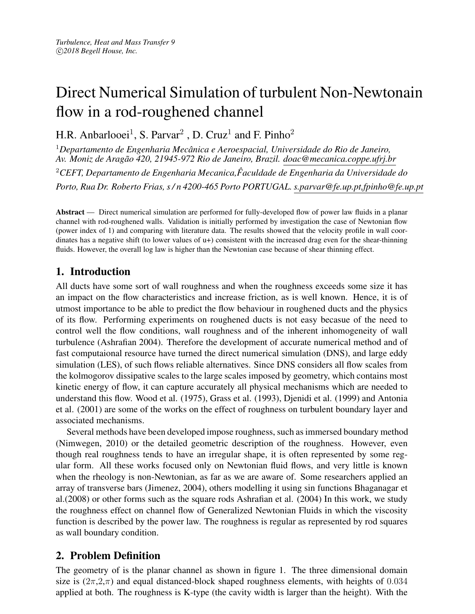# Direct Numerical Simulation of turbulent Non-Newtonain flow in a rod-roughened channel

H.R. Anbarlooei<sup>1</sup>, S. Parvar<sup>2</sup>, D. Cruz<sup>1</sup> and F. Pinho<sup>2</sup>

<sup>1</sup>*Departamento de Engenharia Mecanica e Aeroespacial, Universidade do Rio de Janeiro, ˆ Av. Moniz de Aragao 420, 21945-972 Rio de Janeiro, Brazil. doac@mecanica.coppe.ufrj.br ˜* <sup>2</sup>*CEFT, Departamento de Engenharia Mecanica,Faculdade de Engenharia da Universidade do ˆ Porto, Rua Dr. Roberto Frias, s / n 4200-465 Porto PORTUGAL. s.parvar@fe.up.pt,fpinho@fe.up.pt*

Abstract — Direct numerical simulation are performed for fully-developed flow of power law fluids in a planar channel with rod-roughened walls. Validation is initially performed by investigation the case of Newtonian flow (power index of 1) and comparing with literature data. The results showed that the velocity profile in wall coordinates has a negative shift (to lower values of u+) consistent with the increased drag even for the shear-thinning fluids. However, the overall log law is higher than the Newtonian case because of shear thinning effect.

# 1. Introduction

All ducts have some sort of wall roughness and when the roughness exceeds some size it has an impact on the flow characteristics and increase friction, as is well known. Hence, it is of utmost importance to be able to predict the flow behaviour in roughened ducts and the physics of its flow. Performing experiments on roughened ducts is not easy becasue of the need to control well the flow conditions, wall roughness and of the inherent inhomogeneity of wall turbulence (Ashrafian 2004). Therefore the development of accurate numerical method and of fast computaional resource have turned the direct numerical simulation (DNS), and large eddy simulation (LES), of such flows reliable alternatives. Since DNS considers all flow scales from the kolmogorov dissipative scales to the large scales imposed by geometry, which contains most kinetic energy of flow, it can capture accurately all physical mechanisms which are needed to understand this flow. Wood et al. (1975), Grass et al. (1993), Djenidi et al. (1999) and Antonia et al. (2001) are some of the works on the effect of roughness on turbulent boundary layer and associated mechanisms.

Several methods have been developed impose roughness, such as immersed boundary method (Nimwegen, 2010) or the detailed geometric description of the roughness. However, even though real roughness tends to have an irregular shape, it is often represented by some regular form. All these works focused only on Newtonian fluid flows, and very little is known when the rheology is non-Newtonian, as far as we are aware of. Some researchers applied an array of transverse bars (Jimenez, 2004), others modelling it using sin functions Bhaganagar et al.(2008) or other forms such as the square rods Ashrafian et al. (2004) In this work, we study the roughness effect on channel flow of Generalized Newtonian Fluids in which the viscosity function is described by the power law. The roughness is regular as represented by rod squares as wall boundary condition.

# 2. Problem Definition

The geometry of is the planar channel as shown in figure 1. The three dimensional domain size is  $(2\pi,2\pi)$  and equal distanced-block shaped roughness elements, with heights of 0.034 applied at both. The roughness is K-type (the cavity width is larger than the height). With the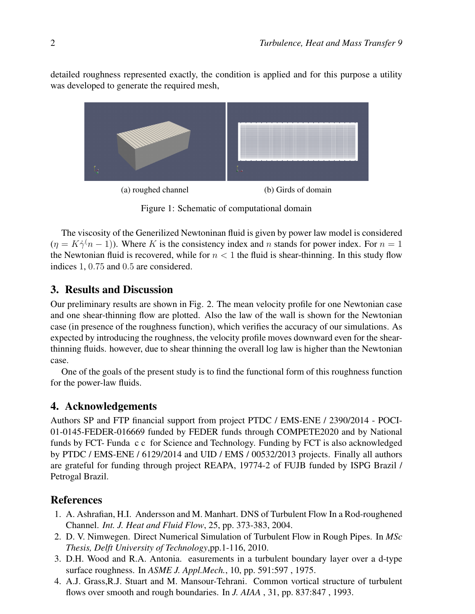detailed roughness represented exactly, the condition is applied and for this purpose a utility was developed to generate the required mesh,



Figure 1: Schematic of computational domain

The viscosity of the Generilized Newtoninan fluid is given by power law model is considered  $(\eta = K\dot{\gamma}(n-1))$ . Where K is the consistency index and n stands for power index. For  $n = 1$ the Newtonian fluid is recovered, while for  $n < 1$  the fluid is shear-thinning. In this study flow indices 1, 0.75 and 0.5 are considered.

#### 3. Results and Discussion

Our preliminary results are shown in Fig. 2. The mean velocity profile for one Newtonian case and one shear-thinning flow are plotted. Also the law of the wall is shown for the Newtonian case (in presence of the roughness function), which verifies the accuracy of our simulations. As expected by introducing the roughness, the velocity profile moves downward even for the shearthinning fluids. however, due to shear thinning the overall log law is higher than the Newtonian case.

One of the goals of the present study is to find the functional form of this roughness function for the power-law fluids.

## 4. Acknowledgements

Authors SP and FTP financial support from project PTDC / EMS-ENE / 2390/2014 - POCI-01-0145-FEDER-016669 funded by FEDER funds through COMPETE2020 and by National funds by FCT- Funda c c for Science and Technology. Funding by FCT is also acknowledged by PTDC / EMS-ENE / 6129/2014 and UID / EMS / 00532/2013 projects. Finally all authors are grateful for funding through project REAPA, 19774-2 of FUJB funded by ISPG Brazil / Petrogal Brazil.

## **References**

- 1. A. Ashrafian, H.I. Andersson and M. Manhart. DNS of Turbulent Flow In a Rod-roughened Channel. *Int. J. Heat and Fluid Flow*, 25, pp. 373-383, 2004.
- 2. D. V. Nimwegen. Direct Numerical Simulation of Turbulent Flow in Rough Pipes. In *MSc Thesis, Delft University of Technology*,pp.1-116, 2010.
- 3. D.H. Wood and R.A. Antonia. easurements in a turbulent boundary layer over a d-type surface roughness. In *ASME J. Appl.Mech.*, 10, pp. 591:597 , 1975.
- 4. A.J. Grass,R.J. Stuart and M. Mansour-Tehrani. Common vortical structure of turbulent flows over smooth and rough boundaries. In *J. AIAA* , 31, pp. 837:847 , 1993.